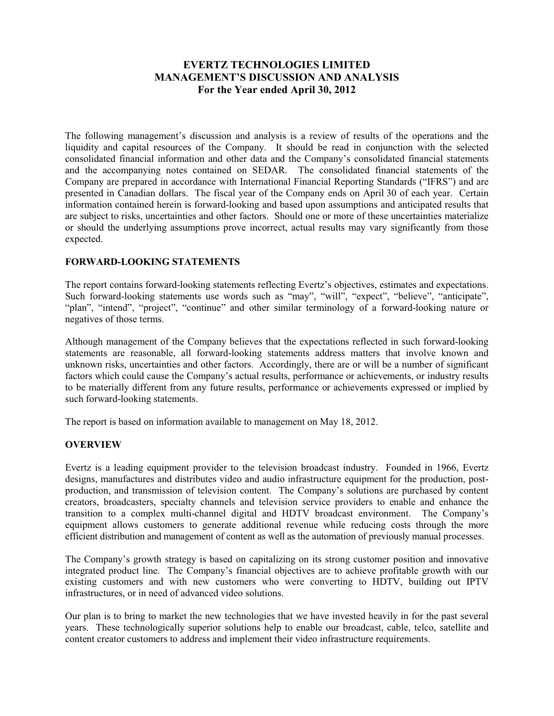# **EVERTZ TECHNOLOGIES LIMITED MANAGEMENT'S DISCUSSION AND ANALYSIS For the Year ended April 30, 2012**

The following management's discussion and analysis is a review of results of the operations and the liquidity and capital resources of the Company. It should be read in conjunction with the selected consolidated financial information and other data and the Company's consolidated financial statements and the accompanying notes contained on SEDAR. The consolidated financial statements of the Company are prepared in accordance with International Financial Reporting Standards ("IFRS") and are presented in Canadian dollars. The fiscal year of the Company ends on April 30 of each year. Certain information contained herein is forward-looking and based upon assumptions and anticipated results that are subject to risks, uncertainties and other factors. Should one or more of these uncertainties materialize or should the underlying assumptions prove incorrect, actual results may vary significantly from those expected.

## **FORWARD-LOOKING STATEMENTS**

The report contains forward-looking statements reflecting Evertz's objectives, estimates and expectations. Such forward-looking statements use words such as "may", "will", "expect", "believe", "anticipate", "plan", "intend", "project", "continue" and other similar terminology of a forward-looking nature or negatives of those terms.

Although management of the Company believes that the expectations reflected in such forward-looking statements are reasonable, all forward-looking statements address matters that involve known and unknown risks, uncertainties and other factors. Accordingly, there are or will be a number of significant factors which could cause the Company's actual results, performance or achievements, or industry results to be materially different from any future results, performance or achievements expressed or implied by such forward-looking statements.

The report is based on information available to management on May 18, 2012.

## **OVERVIEW**

Evertz is a leading equipment provider to the television broadcast industry. Founded in 1966, Evertz designs, manufactures and distributes video and audio infrastructure equipment for the production, postproduction, and transmission of television content. The Company's solutions are purchased by content creators, broadcasters, specialty channels and television service providers to enable and enhance the transition to a complex multi-channel digital and HDTV broadcast environment. The Company's equipment allows customers to generate additional revenue while reducing costs through the more efficient distribution and management of content as well as the automation of previously manual processes.

The Company's growth strategy is based on capitalizing on its strong customer position and innovative integrated product line. The Company's financial objectives are to achieve profitable growth with our existing customers and with new customers who were converting to HDTV, building out IPTV infrastructures, or in need of advanced video solutions.

Our plan is to bring to market the new technologies that we have invested heavily in for the past several years. These technologically superior solutions help to enable our broadcast, cable, telco, satellite and content creator customers to address and implement their video infrastructure requirements.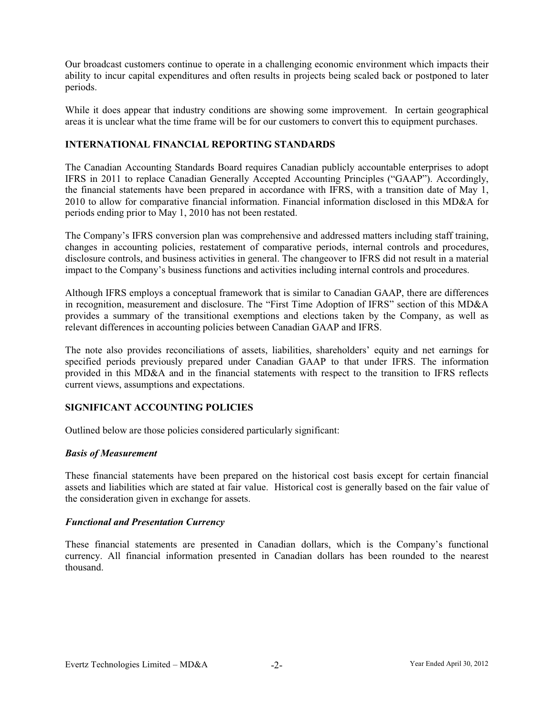Our broadcast customers continue to operate in a challenging economic environment which impacts their ability to incur capital expenditures and often results in projects being scaled back or postponed to later periods.

While it does appear that industry conditions are showing some improvement. In certain geographical areas it is unclear what the time frame will be for our customers to convert this to equipment purchases.

# **INTERNATIONAL FINANCIAL REPORTING STANDARDS**

The Canadian Accounting Standards Board requires Canadian publicly accountable enterprises to adopt IFRS in 2011 to replace Canadian Generally Accepted Accounting Principles ("GAAP"). Accordingly, the financial statements have been prepared in accordance with IFRS, with a transition date of May 1, 2010 to allow for comparative financial information. Financial information disclosed in this MD&A for periods ending prior to May 1, 2010 has not been restated.

The Company's IFRS conversion plan was comprehensive and addressed matters including staff training, changes in accounting policies, restatement of comparative periods, internal controls and procedures, disclosure controls, and business activities in general. The changeover to IFRS did not result in a material impact to the Company's business functions and activities including internal controls and procedures.

Although IFRS employs a conceptual framework that is similar to Canadian GAAP, there are differences in recognition, measurement and disclosure. The "First Time Adoption of IFRS" section of this MD&A provides a summary of the transitional exemptions and elections taken by the Company, as well as relevant differences in accounting policies between Canadian GAAP and IFRS.

The note also provides reconciliations of assets, liabilities, shareholders' equity and net earnings for specified periods previously prepared under Canadian GAAP to that under IFRS. The information provided in this MD&A and in the financial statements with respect to the transition to IFRS reflects current views, assumptions and expectations.

## **SIGNIFICANT ACCOUNTING POLICIES**

Outlined below are those policies considered particularly significant:

## *Basis of Measurement*

These financial statements have been prepared on the historical cost basis except for certain financial assets and liabilities which are stated at fair value. Historical cost is generally based on the fair value of the consideration given in exchange for assets.

## *Functional and Presentation Currency*

These financial statements are presented in Canadian dollars, which is the Company's functional currency. All financial information presented in Canadian dollars has been rounded to the nearest thousand.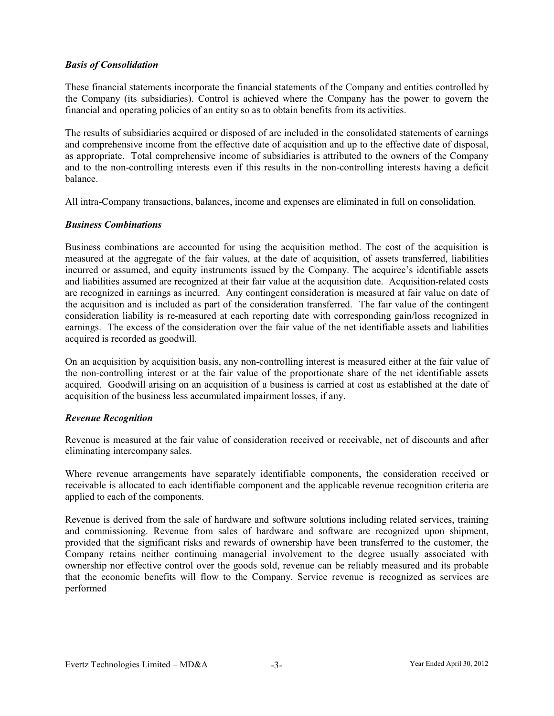# *Basis of Consolidation*

These financial statements incorporate the financial statements of the Company and entities controlled by the Company (its subsidiaries). Control is achieved where the Company has the power to govern the financial and operating policies of an entity so as to obtain benefits from its activities.

The results of subsidiaries acquired or disposed of are included in the consolidated statements of earnings and comprehensive income from the effective date of acquisition and up to the effective date of disposal, as appropriate. Total comprehensive income of subsidiaries is attributed to the owners of the Company and to the non-controlling interests even if this results in the non-controlling interests having a deficit balance.

All intra-Company transactions, balances, income and expenses are eliminated in full on consolidation.

# *Business Combinations*

Business combinations are accounted for using the acquisition method. The cost of the acquisition is measured at the aggregate of the fair values, at the date of acquisition, of assets transferred, liabilities incurred or assumed, and equity instruments issued by the Company. The acquiree's identifiable assets and liabilities assumed are recognized at their fair value at the acquisition date. Acquisition-related costs are recognized in earnings as incurred. Any contingent consideration is measured at fair value on date of the acquisition and is included as part of the consideration transferred. The fair value of the contingent consideration liability is re-measured at each reporting date with corresponding gain/loss recognized in earnings. The excess of the consideration over the fair value of the net identifiable assets and liabilities acquired is recorded as goodwill.

On an acquisition by acquisition basis, any non-controlling interest is measured either at the fair value of the non-controlling interest or at the fair value of the proportionate share of the net identifiable assets acquired. Goodwill arising on an acquisition of a business is carried at cost as established at the date of acquisition of the business less accumulated impairment losses, if any.

## *Revenue Recognition*

Revenue is measured at the fair value of consideration received or receivable, net of discounts and after eliminating intercompany sales.

Where revenue arrangements have separately identifiable components, the consideration received or receivable is allocated to each identifiable component and the applicable revenue recognition criteria are applied to each of the components.

Revenue is derived from the sale of hardware and software solutions including related services, training and commissioning. Revenue from sales of hardware and software are recognized upon shipment, provided that the significant risks and rewards of ownership have been transferred to the customer, the Company retains neither continuing managerial involvement to the degree usually associated with ownership nor effective control over the goods sold, revenue can be reliably measured and its probable that the economic benefits will flow to the Company. Service revenue is recognized as services are performed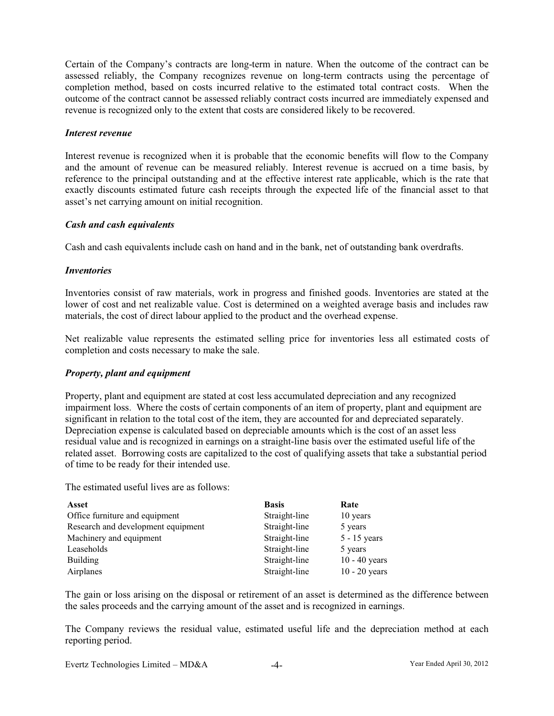Certain of the Company's contracts are long-term in nature. When the outcome of the contract can be assessed reliably, the Company recognizes revenue on long-term contracts using the percentage of completion method, based on costs incurred relative to the estimated total contract costs. When the outcome of the contract cannot be assessed reliably contract costs incurred are immediately expensed and revenue is recognized only to the extent that costs are considered likely to be recovered.

### *Interest revenue*

Interest revenue is recognized when it is probable that the economic benefits will flow to the Company and the amount of revenue can be measured reliably. Interest revenue is accrued on a time basis, by reference to the principal outstanding and at the effective interest rate applicable, which is the rate that exactly discounts estimated future cash receipts through the expected life of the financial asset to that asset's net carrying amount on initial recognition.

## *Cash and cash equivalents*

Cash and cash equivalents include cash on hand and in the bank, net of outstanding bank overdrafts.

### *Inventories*

Inventories consist of raw materials, work in progress and finished goods. Inventories are stated at the lower of cost and net realizable value. Cost is determined on a weighted average basis and includes raw materials, the cost of direct labour applied to the product and the overhead expense.

Net realizable value represents the estimated selling price for inventories less all estimated costs of completion and costs necessary to make the sale.

## *Property, plant and equipment*

Property, plant and equipment are stated at cost less accumulated depreciation and any recognized impairment loss. Where the costs of certain components of an item of property, plant and equipment are significant in relation to the total cost of the item, they are accounted for and depreciated separately. Depreciation expense is calculated based on depreciable amounts which is the cost of an asset less residual value and is recognized in earnings on a straight-line basis over the estimated useful life of the related asset. Borrowing costs are capitalized to the cost of qualifying assets that take a substantial period of time to be ready for their intended use.

The estimated useful lives are as follows:

| Asset                              | <b>Basis</b>  | Rate            |
|------------------------------------|---------------|-----------------|
| Office furniture and equipment     | Straight-line | 10 years        |
| Research and development equipment | Straight-line | 5 years         |
| Machinery and equipment            | Straight-line | $5 - 15$ years  |
| Leaseholds                         | Straight-line | 5 years         |
| <b>Building</b>                    | Straight-line | $10 - 40$ years |
| Airplanes                          | Straight-line | $10 - 20$ years |

The gain or loss arising on the disposal or retirement of an asset is determined as the difference between the sales proceeds and the carrying amount of the asset and is recognized in earnings.

The Company reviews the residual value, estimated useful life and the depreciation method at each reporting period.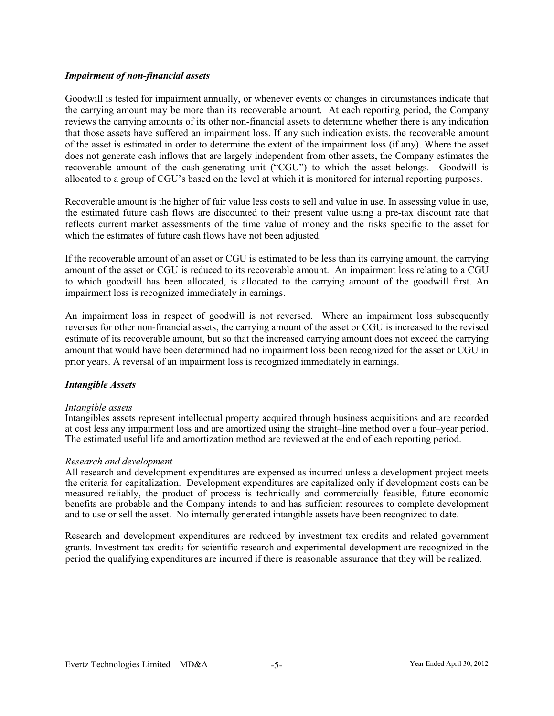### *Impairment of non-financial assets*

Goodwill is tested for impairment annually, or whenever events or changes in circumstances indicate that the carrying amount may be more than its recoverable amount. At each reporting period, the Company reviews the carrying amounts of its other non-financial assets to determine whether there is any indication that those assets have suffered an impairment loss. If any such indication exists, the recoverable amount of the asset is estimated in order to determine the extent of the impairment loss (if any). Where the asset does not generate cash inflows that are largely independent from other assets, the Company estimates the recoverable amount of the cash-generating unit ("CGU") to which the asset belongs. Goodwill is allocated to a group of CGU's based on the level at which it is monitored for internal reporting purposes.

Recoverable amount is the higher of fair value less costs to sell and value in use. In assessing value in use, the estimated future cash flows are discounted to their present value using a pre-tax discount rate that reflects current market assessments of the time value of money and the risks specific to the asset for which the estimates of future cash flows have not been adjusted.

If the recoverable amount of an asset or CGU is estimated to be less than its carrying amount, the carrying amount of the asset or CGU is reduced to its recoverable amount. An impairment loss relating to a CGU to which goodwill has been allocated, is allocated to the carrying amount of the goodwill first. An impairment loss is recognized immediately in earnings.

An impairment loss in respect of goodwill is not reversed. Where an impairment loss subsequently reverses for other non-financial assets, the carrying amount of the asset or CGU is increased to the revised estimate of its recoverable amount, but so that the increased carrying amount does not exceed the carrying amount that would have been determined had no impairment loss been recognized for the asset or CGU in prior years. A reversal of an impairment loss is recognized immediately in earnings.

## *Intangible Assets*

### *Intangible assets*

Intangibles assets represent intellectual property acquired through business acquisitions and are recorded at cost less any impairment loss and are amortized using the straight–line method over a four–year period. The estimated useful life and amortization method are reviewed at the end of each reporting period.

### *Research and development*

All research and development expenditures are expensed as incurred unless a development project meets the criteria for capitalization. Development expenditures are capitalized only if development costs can be measured reliably, the product of process is technically and commercially feasible, future economic benefits are probable and the Company intends to and has sufficient resources to complete development and to use or sell the asset. No internally generated intangible assets have been recognized to date.

Research and development expenditures are reduced by investment tax credits and related government grants. Investment tax credits for scientific research and experimental development are recognized in the period the qualifying expenditures are incurred if there is reasonable assurance that they will be realized.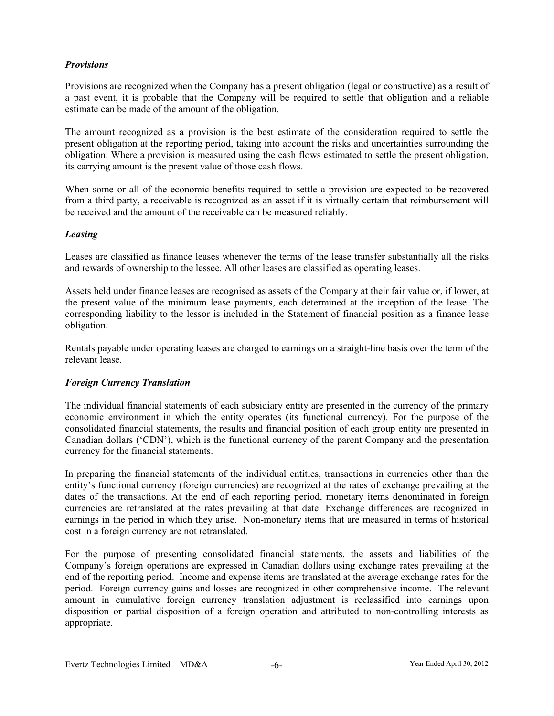## *Provisions*

Provisions are recognized when the Company has a present obligation (legal or constructive) as a result of a past event, it is probable that the Company will be required to settle that obligation and a reliable estimate can be made of the amount of the obligation.

The amount recognized as a provision is the best estimate of the consideration required to settle the present obligation at the reporting period, taking into account the risks and uncertainties surrounding the obligation. Where a provision is measured using the cash flows estimated to settle the present obligation, its carrying amount is the present value of those cash flows.

When some or all of the economic benefits required to settle a provision are expected to be recovered from a third party, a receivable is recognized as an asset if it is virtually certain that reimbursement will be received and the amount of the receivable can be measured reliably.

### *Leasing*

Leases are classified as finance leases whenever the terms of the lease transfer substantially all the risks and rewards of ownership to the lessee. All other leases are classified as operating leases.

Assets held under finance leases are recognised as assets of the Company at their fair value or, if lower, at the present value of the minimum lease payments, each determined at the inception of the lease. The corresponding liability to the lessor is included in the Statement of financial position as a finance lease obligation.

Rentals payable under operating leases are charged to earnings on a straight-line basis over the term of the relevant lease.

## *Foreign Currency Translation*

The individual financial statements of each subsidiary entity are presented in the currency of the primary economic environment in which the entity operates (its functional currency). For the purpose of the consolidated financial statements, the results and financial position of each group entity are presented in Canadian dollars ('CDN'), which is the functional currency of the parent Company and the presentation currency for the financial statements.

In preparing the financial statements of the individual entities, transactions in currencies other than the entity's functional currency (foreign currencies) are recognized at the rates of exchange prevailing at the dates of the transactions. At the end of each reporting period, monetary items denominated in foreign currencies are retranslated at the rates prevailing at that date. Exchange differences are recognized in earnings in the period in which they arise. Non-monetary items that are measured in terms of historical cost in a foreign currency are not retranslated.

For the purpose of presenting consolidated financial statements, the assets and liabilities of the Company's foreign operations are expressed in Canadian dollars using exchange rates prevailing at the end of the reporting period. Income and expense items are translated at the average exchange rates for the period. Foreign currency gains and losses are recognized in other comprehensive income. The relevant amount in cumulative foreign currency translation adjustment is reclassified into earnings upon disposition or partial disposition of a foreign operation and attributed to non-controlling interests as appropriate.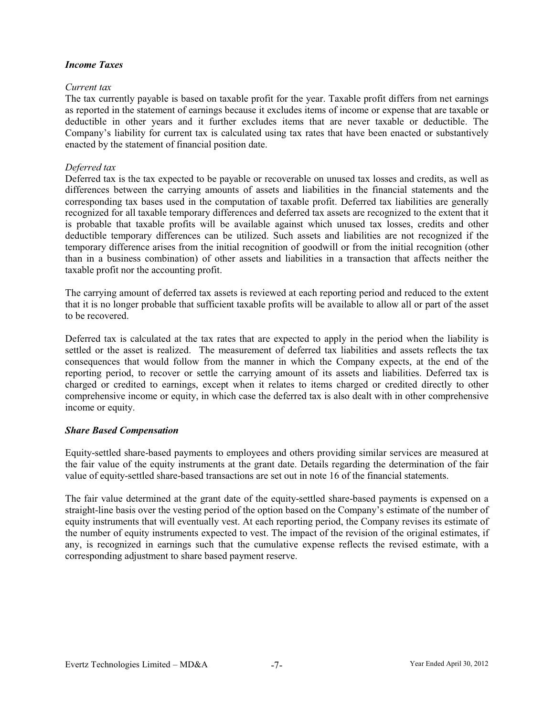## *Income Taxes*

### *Current tax*

The tax currently payable is based on taxable profit for the year. Taxable profit differs from net earnings as reported in the statement of earnings because it excludes items of income or expense that are taxable or deductible in other years and it further excludes items that are never taxable or deductible. The Company's liability for current tax is calculated using tax rates that have been enacted or substantively enacted by the statement of financial position date.

### *Deferred tax*

Deferred tax is the tax expected to be payable or recoverable on unused tax losses and credits, as well as differences between the carrying amounts of assets and liabilities in the financial statements and the corresponding tax bases used in the computation of taxable profit. Deferred tax liabilities are generally recognized for all taxable temporary differences and deferred tax assets are recognized to the extent that it is probable that taxable profits will be available against which unused tax losses, credits and other deductible temporary differences can be utilized. Such assets and liabilities are not recognized if the temporary difference arises from the initial recognition of goodwill or from the initial recognition (other than in a business combination) of other assets and liabilities in a transaction that affects neither the taxable profit nor the accounting profit.

The carrying amount of deferred tax assets is reviewed at each reporting period and reduced to the extent that it is no longer probable that sufficient taxable profits will be available to allow all or part of the asset to be recovered.

Deferred tax is calculated at the tax rates that are expected to apply in the period when the liability is settled or the asset is realized. The measurement of deferred tax liabilities and assets reflects the tax consequences that would follow from the manner in which the Company expects, at the end of the reporting period, to recover or settle the carrying amount of its assets and liabilities. Deferred tax is charged or credited to earnings, except when it relates to items charged or credited directly to other comprehensive income or equity, in which case the deferred tax is also dealt with in other comprehensive income or equity.

### *Share Based Compensation*

Equity-settled share-based payments to employees and others providing similar services are measured at the fair value of the equity instruments at the grant date. Details regarding the determination of the fair value of equity-settled share-based transactions are set out in note 16 of the financial statements.

The fair value determined at the grant date of the equity-settled share-based payments is expensed on a straight-line basis over the vesting period of the option based on the Company's estimate of the number of equity instruments that will eventually vest. At each reporting period, the Company revises its estimate of the number of equity instruments expected to vest. The impact of the revision of the original estimates, if any, is recognized in earnings such that the cumulative expense reflects the revised estimate, with a corresponding adjustment to share based payment reserve.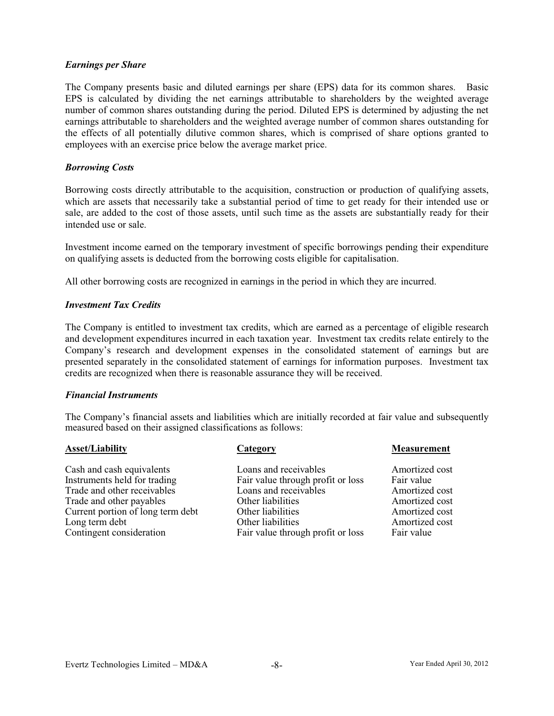### *Earnings per Share*

The Company presents basic and diluted earnings per share (EPS) data for its common shares. Basic EPS is calculated by dividing the net earnings attributable to shareholders by the weighted average number of common shares outstanding during the period. Diluted EPS is determined by adjusting the net earnings attributable to shareholders and the weighted average number of common shares outstanding for the effects of all potentially dilutive common shares, which is comprised of share options granted to employees with an exercise price below the average market price.

### *Borrowing Costs*

Borrowing costs directly attributable to the acquisition, construction or production of qualifying assets, which are assets that necessarily take a substantial period of time to get ready for their intended use or sale, are added to the cost of those assets, until such time as the assets are substantially ready for their intended use or sale.

Investment income earned on the temporary investment of specific borrowings pending their expenditure on qualifying assets is deducted from the borrowing costs eligible for capitalisation.

All other borrowing costs are recognized in earnings in the period in which they are incurred.

### *Investment Tax Credits*

The Company is entitled to investment tax credits, which are earned as a percentage of eligible research and development expenditures incurred in each taxation year. Investment tax credits relate entirely to the Company's research and development expenses in the consolidated statement of earnings but are presented separately in the consolidated statement of earnings for information purposes. Investment tax credits are recognized when there is reasonable assurance they will be received.

### *Financial Instruments*

The Company's financial assets and liabilities which are initially recorded at fair value and subsequently measured based on their assigned classifications as follows:

### **Asset/Liability Category Category Measurement**

Trade and other receivables Current portion of long term debt Other liabilities<br>
Long term debt Other liabilities

Cash and cash equivalents Loans and receivables Amortized cost Instruments held for trading Fair value through profit or loss Fair value<br>Trade and other receivables Loans and receivables Amortized cost Trade and other payables **Other liabilities** Amortized cost<br>Current portion of long term debt Other liabilities Amortized cost Long term debt<br>
Contingent consideration<br>
Contingent consideration<br>
Contingent consideration<br>
Contingent consideration<br>
Contingent consideration<br>
Contingent consideration<br>
Contingent consideration<br>
Contingent consideration Fair value through profit or loss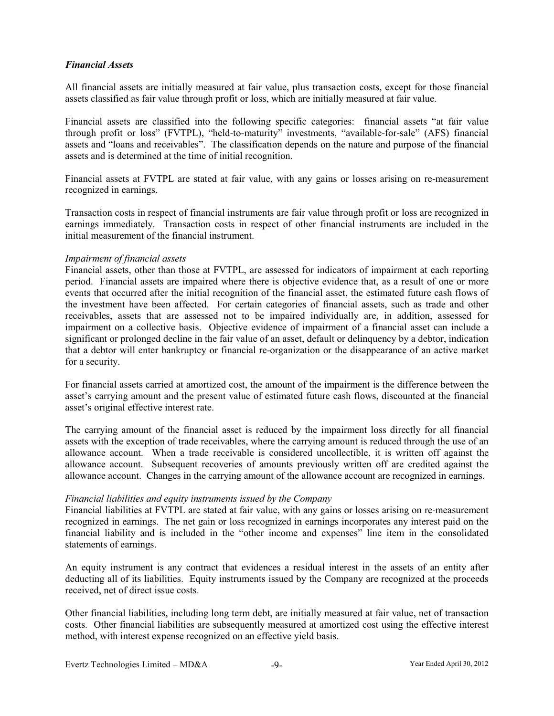### *Financial Assets*

All financial assets are initially measured at fair value, plus transaction costs, except for those financial assets classified as fair value through profit or loss, which are initially measured at fair value.

Financial assets are classified into the following specific categories: financial assets "at fair value through profit or loss" (FVTPL), "held-to-maturity" investments, "available-for-sale" (AFS) financial assets and "loans and receivables". The classification depends on the nature and purpose of the financial assets and is determined at the time of initial recognition.

Financial assets at FVTPL are stated at fair value, with any gains or losses arising on re-measurement recognized in earnings.

Transaction costs in respect of financial instruments are fair value through profit or loss are recognized in earnings immediately. Transaction costs in respect of other financial instruments are included in the initial measurement of the financial instrument.

### *Impairment of financial assets*

Financial assets, other than those at FVTPL, are assessed for indicators of impairment at each reporting period. Financial assets are impaired where there is objective evidence that, as a result of one or more events that occurred after the initial recognition of the financial asset, the estimated future cash flows of the investment have been affected. For certain categories of financial assets, such as trade and other receivables, assets that are assessed not to be impaired individually are, in addition, assessed for impairment on a collective basis. Objective evidence of impairment of a financial asset can include a significant or prolonged decline in the fair value of an asset, default or delinquency by a debtor, indication that a debtor will enter bankruptcy or financial re-organization or the disappearance of an active market for a security.

For financial assets carried at amortized cost, the amount of the impairment is the difference between the asset's carrying amount and the present value of estimated future cash flows, discounted at the financial asset's original effective interest rate.

The carrying amount of the financial asset is reduced by the impairment loss directly for all financial assets with the exception of trade receivables, where the carrying amount is reduced through the use of an allowance account. When a trade receivable is considered uncollectible, it is written off against the allowance account. Subsequent recoveries of amounts previously written off are credited against the allowance account. Changes in the carrying amount of the allowance account are recognized in earnings.

### *Financial liabilities and equity instruments issued by the Company*

Financial liabilities at FVTPL are stated at fair value, with any gains or losses arising on re-measurement recognized in earnings. The net gain or loss recognized in earnings incorporates any interest paid on the financial liability and is included in the "other income and expenses" line item in the consolidated statements of earnings.

An equity instrument is any contract that evidences a residual interest in the assets of an entity after deducting all of its liabilities. Equity instruments issued by the Company are recognized at the proceeds received, net of direct issue costs.

Other financial liabilities, including long term debt, are initially measured at fair value, net of transaction costs. Other financial liabilities are subsequently measured at amortized cost using the effective interest method, with interest expense recognized on an effective yield basis.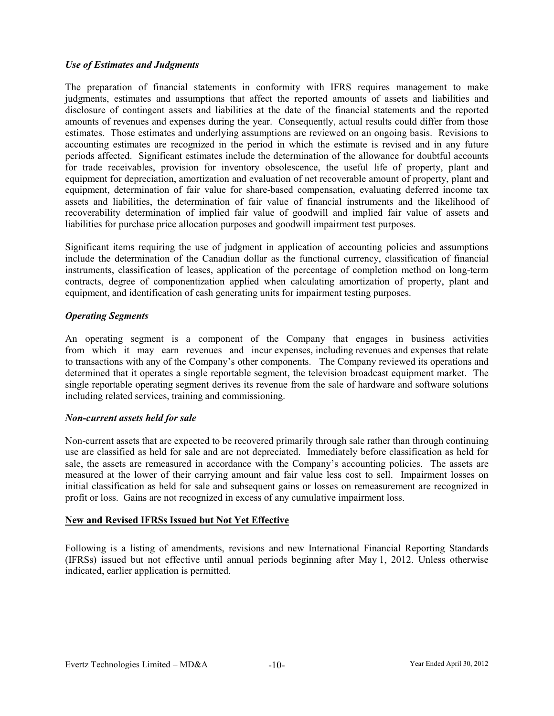# *Use of Estimates and Judgments*

The preparation of financial statements in conformity with IFRS requires management to make judgments, estimates and assumptions that affect the reported amounts of assets and liabilities and disclosure of contingent assets and liabilities at the date of the financial statements and the reported amounts of revenues and expenses during the year. Consequently, actual results could differ from those estimates. Those estimates and underlying assumptions are reviewed on an ongoing basis. Revisions to accounting estimates are recognized in the period in which the estimate is revised and in any future periods affected. Significant estimates include the determination of the allowance for doubtful accounts for trade receivables, provision for inventory obsolescence, the useful life of property, plant and equipment for depreciation, amortization and evaluation of net recoverable amount of property, plant and equipment, determination of fair value for share-based compensation, evaluating deferred income tax assets and liabilities, the determination of fair value of financial instruments and the likelihood of recoverability determination of implied fair value of goodwill and implied fair value of assets and liabilities for purchase price allocation purposes and goodwill impairment test purposes.

Significant items requiring the use of judgment in application of accounting policies and assumptions include the determination of the Canadian dollar as the functional currency, classification of financial instruments, classification of leases, application of the percentage of completion method on long-term contracts, degree of componentization applied when calculating amortization of property, plant and equipment, and identification of cash generating units for impairment testing purposes.

# *Operating Segments*

An operating segment is a component of the Company that engages in business activities from which it may earn revenues and incur expenses, including revenues and expenses that relate to transactions with any of the Company's other components. The Company reviewed its operations and determined that it operates a single reportable segment, the television broadcast equipment market. The single reportable operating segment derives its revenue from the sale of hardware and software solutions including related services, training and commissioning.

## *Non-current assets held for sale*

Non-current assets that are expected to be recovered primarily through sale rather than through continuing use are classified as held for sale and are not depreciated. Immediately before classification as held for sale, the assets are remeasured in accordance with the Company's accounting policies. The assets are measured at the lower of their carrying amount and fair value less cost to sell. Impairment losses on initial classification as held for sale and subsequent gains or losses on remeasurement are recognized in profit or loss. Gains are not recognized in excess of any cumulative impairment loss.

## **New and Revised IFRSs Issued but Not Yet Effective**

Following is a listing of amendments, revisions and new International Financial Reporting Standards (IFRSs) issued but not effective until annual periods beginning after May 1, 2012. Unless otherwise indicated, earlier application is permitted.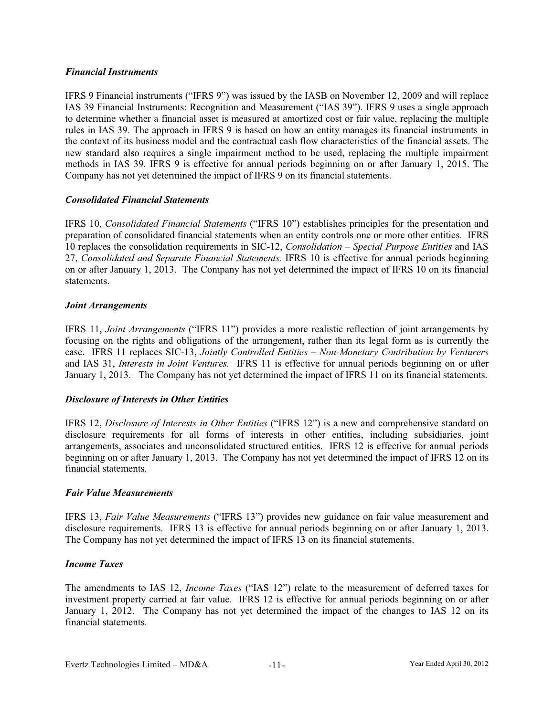## *Financial Instruments*

IFRS 9 Financial instruments ("IFRS 9") was issued by the IASB on November 12, 2009 and will replace IAS 39 Financial Instruments: Recognition and Measurement ("IAS 39"). IFRS 9 uses a single approach to determine whether a financial asset is measured at amortized cost or fair value, replacing the multiple rules in IAS 39. The approach in IFRS 9 is based on how an entity manages its financial instruments in the context of its business model and the contractual cash flow characteristics of the financial assets. The new standard also requires a single impairment method to be used, replacing the multiple impairment methods in IAS 39. IFRS 9 is effective for annual periods beginning on or after January 1, 2015. The Company has not yet determined the impact of IFRS 9 on its financial statements.

### *Consolidated Financial Statements*

IFRS 10, *Consolidated Financial Statements* ("IFRS 10") establishes principles for the presentation and preparation of consolidated financial statements when an entity controls one or more other entities. IFRS 10 replaces the consolidation requirements in SIC-12, *Consolidation – Special Purpose Entities* and IAS 27, *Consolidated and Separate Financial Statements.* IFRS 10 is effective for annual periods beginning on or after January 1, 2013. The Company has not yet determined the impact of IFRS 10 on its financial statements.

### *Joint Arrangements*

IFRS 11, *Joint Arrangements* ("IFRS 11") provides a more realistic reflection of joint arrangements by focusing on the rights and obligations of the arrangement, rather than its legal form as is currently the case. IFRS 11 replaces SIC-13, *Jointly Controlled Entities – Non-Monetary Contribution by Venturers*  and IAS 31, *Interests in Joint Ventures.* IFRS 11 is effective for annual periods beginning on or after January 1, 2013. The Company has not yet determined the impact of IFRS 11 on its financial statements.

## *Disclosure of Interests in Other Entities*

IFRS 12, *Disclosure of Interests in Other Entities* ("IFRS 12") is a new and comprehensive standard on disclosure requirements for all forms of interests in other entities, including subsidiaries, joint arrangements, associates and unconsolidated structured entities. IFRS 12 is effective for annual periods beginning on or after January 1, 2013. The Company has not yet determined the impact of IFRS 12 on its financial statements.

### *Fair Value Measurements*

IFRS 13, *Fair Value Measurements* ("IFRS 13") provides new guidance on fair value measurement and disclosure requirements. IFRS 13 is effective for annual periods beginning on or after January 1, 2013. The Company has not yet determined the impact of IFRS 13 on its financial statements.

### *Income Taxes*

The amendments to IAS 12, *Income Taxes* ("IAS 12") relate to the measurement of deferred taxes for investment property carried at fair value. IFRS 12 is effective for annual periods beginning on or after January 1, 2012. The Company has not yet determined the impact of the changes to IAS 12 on its financial statements.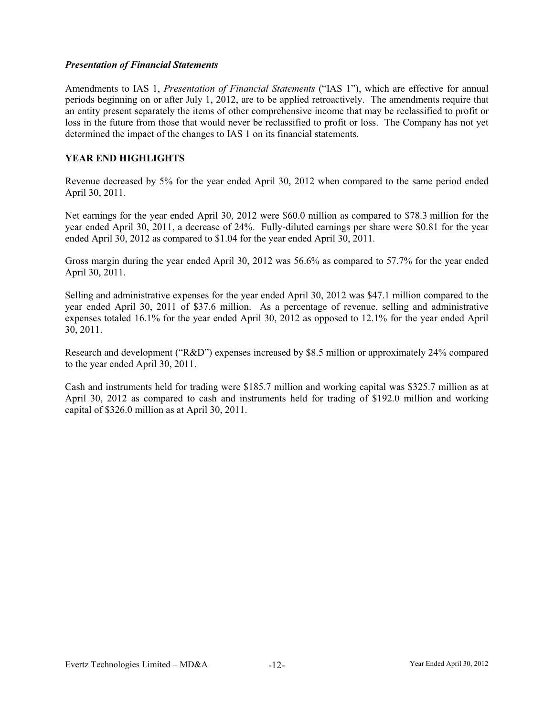### *Presentation of Financial Statements*

Amendments to IAS 1, *Presentation of Financial Statements* ("IAS 1"), which are effective for annual periods beginning on or after July 1, 2012, are to be applied retroactively. The amendments require that an entity present separately the items of other comprehensive income that may be reclassified to profit or loss in the future from those that would never be reclassified to profit or loss. The Company has not yet determined the impact of the changes to IAS 1 on its financial statements.

# **YEAR END HIGHLIGHTS**

Revenue decreased by 5% for the year ended April 30, 2012 when compared to the same period ended April 30, 2011.

Net earnings for the year ended April 30, 2012 were \$60.0 million as compared to \$78.3 million for the year ended April 30, 2011, a decrease of 24%. Fully-diluted earnings per share were \$0.81 for the year ended April 30, 2012 as compared to \$1.04 for the year ended April 30, 2011.

Gross margin during the year ended April 30, 2012 was 56.6% as compared to 57.7% for the year ended April 30, 2011.

Selling and administrative expenses for the year ended April 30, 2012 was \$47.1 million compared to the year ended April 30, 2011 of \$37.6 million. As a percentage of revenue, selling and administrative expenses totaled 16.1% for the year ended April 30, 2012 as opposed to 12.1% for the year ended April 30, 2011.

Research and development ("R&D") expenses increased by \$8.5 million or approximately 24% compared to the year ended April 30, 2011.

Cash and instruments held for trading were \$185.7 million and working capital was \$325.7 million as at April 30, 2012 as compared to cash and instruments held for trading of \$192.0 million and working capital of \$326.0 million as at April 30, 2011.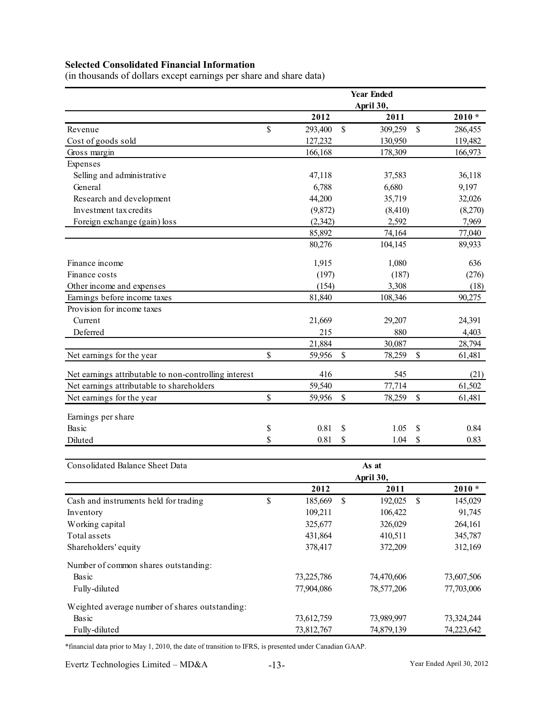# **Selected Consolidated Financial Information**

(in thousands of dollars except earnings per share and share data)

|                                                       |               | <b>Year Ended</b>  |               |            |
|-------------------------------------------------------|---------------|--------------------|---------------|------------|
|                                                       |               | April 30,          |               |            |
|                                                       | 2012          | 2011               |               | $2010 *$   |
| Revenue                                               | \$<br>293,400 | \$<br>309,259      | \$            | 286,455    |
| Cost of goods sold                                    | 127,232       | 130,950            |               | 119,482    |
| Gross margin                                          | 166,168       | 178,309            |               | 166,973    |
| Expenses                                              |               |                    |               |            |
| Selling and administrative                            | 47,118        | 37,583             |               | 36,118     |
| General                                               | 6,788         | 6,680              |               | 9,197      |
| Research and development                              | 44,200        | 35,719             |               | 32,026     |
| Investment tax credits                                | (9,872)       | (8, 410)           |               | (8,270)    |
| Foreign exchange (gain) loss                          | (2,342)       | 2,592              |               | 7,969      |
|                                                       | 85,892        | 74,164             |               | 77,040     |
|                                                       | 80,276        | 104,145            |               | 89,933     |
| Finance income                                        | 1,915         | 1,080              |               | 636        |
| Finance costs                                         | (197)         | (187)              |               | (276)      |
| Other income and expenses                             | (154)         | 3,308              |               | (18)       |
| Earnings before income taxes                          | 81,840        | 108,346            |               | 90,275     |
| Provision for income taxes                            |               |                    |               |            |
| Current                                               | 21,669        | 29,207             |               | 24,391     |
| Deferred                                              | 215           | 880                |               | 4,403      |
|                                                       | 21,884        | 30,087             |               | 28,794     |
| Net earnings for the year                             | \$<br>59,956  | \$<br>78,259       | \$            | 61,481     |
| Net earnings attributable to non-controlling interest | 416           | 545                |               | (21)       |
| Net earnings attributable to shareholders             | 59,540        | 77,714             |               | 61,502     |
| Net earnings for the year                             | \$<br>59,956  | \$<br>78,259       | \$            | 61,481     |
| Earnings per share                                    |               |                    |               |            |
| Basic                                                 | \$<br>0.81    | \$<br>1.05         | \$            | 0.84       |
| Diluted                                               | \$<br>0.81    | \$<br>1.04         | <sup>\$</sup> | 0.83       |
| Consolidated Balance Sheet Data                       |               |                    |               |            |
|                                                       |               | As at<br>April 30, |               |            |
|                                                       | 2012          | 2011               |               | $2010 *$   |
| Cash and instruments held for trading                 | \$<br>185,669 | \$<br>192,025      | \$            | 145,029    |
| Inventory                                             | 109,211       | 106,422            |               | 91,745     |
| Working capital                                       | 325,677       | 326,029            |               | 264,161    |
| Total assets                                          | 431,864       | 410,511            |               | 345,787    |
| Shareholders' equity                                  | 378,417       | 372,209            |               | 312,169    |
| Number of common shares outstanding:                  |               |                    |               |            |
| Basic                                                 | 73,225,786    | 74,470,606         |               | 73,607,506 |
| Fully-diluted                                         | 77,904,086    | 78,577,206         |               | 77,703,006 |
| Weighted average number of shares outstanding:        |               |                    |               |            |
| Basic                                                 | 73,612,759    | 73,989,997         |               | 73,324,244 |
| Fully-diluted                                         | 73,812,767    | 74,879,139         |               | 74,223,642 |

\*financial data prior to May 1, 2010, the date of transition to IFRS, is presented under Canadian GAAP.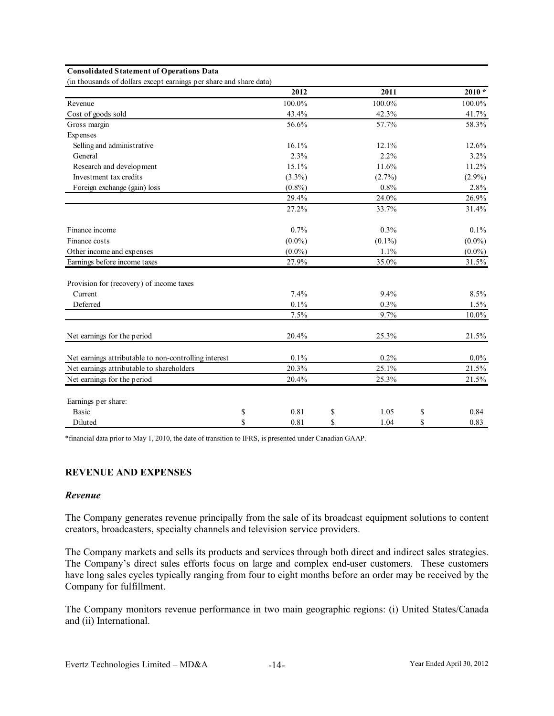#### **Consolidated Statement of Operations Data**

(in thousands of dollars except earnings per share and share data)

|                                                       | 2012       | 2011       | $2010 *$   |
|-------------------------------------------------------|------------|------------|------------|
| Revenue                                               | 100.0%     | 100.0%     | 100.0%     |
| Cost of goods sold                                    | 43.4%      | 42.3%      | 41.7%      |
| Gross margin                                          | 56.6%      | 57.7%      | 58.3%      |
| Expenses                                              |            |            |            |
| Selling and administrative                            | 16.1%      | 12.1%      | 12.6%      |
| General                                               | 2.3%       | $2.2\%$    | 3.2%       |
| Research and development                              | 15.1%      | 11.6%      | 11.2%      |
| Investment tax credits                                | $(3.3\%)$  | $(2.7\%)$  | $(2.9\%)$  |
| Foreign exchange (gain) loss                          | $(0.8\%)$  | 0.8%       | 2.8%       |
|                                                       | 29.4%      | 24.0%      | 26.9%      |
|                                                       | 27.2%      | 33.7%      | 31.4%      |
| Finance income                                        | $0.7\%$    | $0.3\%$    | $0.1\%$    |
| Finance costs                                         | $(0.0\%)$  | $(0.1\%)$  | $(0.0\%)$  |
| Other income and expenses                             | $(0.0\%)$  | 1.1%       | $(0.0\%)$  |
| Earnings before income taxes                          | 27.9%      | 35.0%      | 31.5%      |
| Provision for (recovery) of income taxes              |            |            |            |
| Current                                               | 7.4%       | 9.4%       | 8.5%       |
| Deferred                                              | 0.1%       | 0.3%       | 1.5%       |
|                                                       | 7.5%       | 9.7%       | $10.0\%$   |
| Net earnings for the period                           | 20.4%      | 25.3%      | 21.5%      |
| Net earnings attributable to non-controlling interest | 0.1%       | 0.2%       | $0.0\%$    |
| Net earnings attributable to shareholders             | 20.3%      | 25.1%      | 21.5%      |
| Net earnings for the period                           | 20.4%      | 25.3%      | 21.5%      |
| Earnings per share:                                   |            |            |            |
| <b>Basic</b>                                          | \$<br>0.81 | \$<br>1.05 | \$<br>0.84 |
| Diluted                                               | \$<br>0.81 | \$<br>1.04 | \$<br>0.83 |

\*financial data prior to May 1, 2010, the date of transition to IFRS, is presented under Canadian GAAP.

### **REVENUE AND EXPENSES**

### *Revenue*

The Company generates revenue principally from the sale of its broadcast equipment solutions to content creators, broadcasters, specialty channels and television service providers.

The Company markets and sells its products and services through both direct and indirect sales strategies. The Company's direct sales efforts focus on large and complex end-user customers. These customers have long sales cycles typically ranging from four to eight months before an order may be received by the Company for fulfillment.

The Company monitors revenue performance in two main geographic regions: (i) United States/Canada and (ii) International.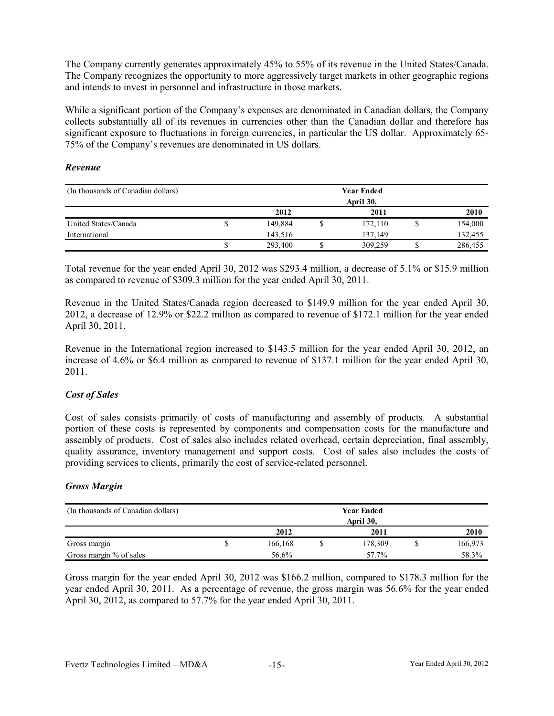The Company currently generates approximately 45% to 55% of its revenue in the United States/Canada. The Company recognizes the opportunity to more aggressively target markets in other geographic regions and intends to invest in personnel and infrastructure in those markets.

While a significant portion of the Company's expenses are denominated in Canadian dollars, the Company collects substantially all of its revenues in currencies other than the Canadian dollar and therefore has significant exposure to fluctuations in foreign currencies, in particular the US dollar. Approximately 65- 75% of the Company's revenues are denominated in US dollars.

## *Revenue*

| (In thousands of Canadian dollars) | <b>Year Ended</b><br>April 30, |         |  |         |  |         |
|------------------------------------|--------------------------------|---------|--|---------|--|---------|
|                                    |                                | 2012    |  | 2011    |  | 2010    |
| United States/Canada               | ۵                              | 149.884 |  | 172.110 |  | 154,000 |
| International                      |                                | 143.516 |  | 137.149 |  | 132,455 |
|                                    | ۰D                             | 293,400 |  | 309,259 |  | 286,455 |

Total revenue for the year ended April 30, 2012 was \$293.4 million, a decrease of 5.1% or \$15.9 million as compared to revenue of \$309.3 million for the year ended April 30, 2011.

Revenue in the United States/Canada region decreased to \$149.9 million for the year ended April 30, 2012, a decrease of 12.9% or \$22.2 million as compared to revenue of \$172.1 million for the year ended April 30, 2011.

Revenue in the International region increased to \$143.5 million for the year ended April 30, 2012, an increase of 4.6% or \$6.4 million as compared to revenue of \$137.1 million for the year ended April 30, 2011.

## *Cost of Sales*

Cost of sales consists primarily of costs of manufacturing and assembly of products. A substantial portion of these costs is represented by components and compensation costs for the manufacture and assembly of products. Cost of sales also includes related overhead, certain depreciation, final assembly, quality assurance, inventory management and support costs. Cost of sales also includes the costs of providing services to clients, primarily the cost of service-related personnel.

## *Gross Margin*

| (In thousands of Canadian dollars) |   |         |  | <b>Year Ended</b><br>April 30, |      |         |
|------------------------------------|---|---------|--|--------------------------------|------|---------|
|                                    |   | 2012    |  | 2011                           | 2010 |         |
| Gross margin                       | C | 166.168 |  | 178,309                        |      | 166,973 |
| Gross margin % of sales            |   | 56.6%   |  | 57.7%                          |      | 58.3%   |

Gross margin for the year ended April 30, 2012 was \$166.2 million, compared to \$178.3 million for the year ended April 30, 2011. As a percentage of revenue, the gross margin was 56.6% for the year ended April 30, 2012, as compared to 57.7% for the year ended April 30, 2011.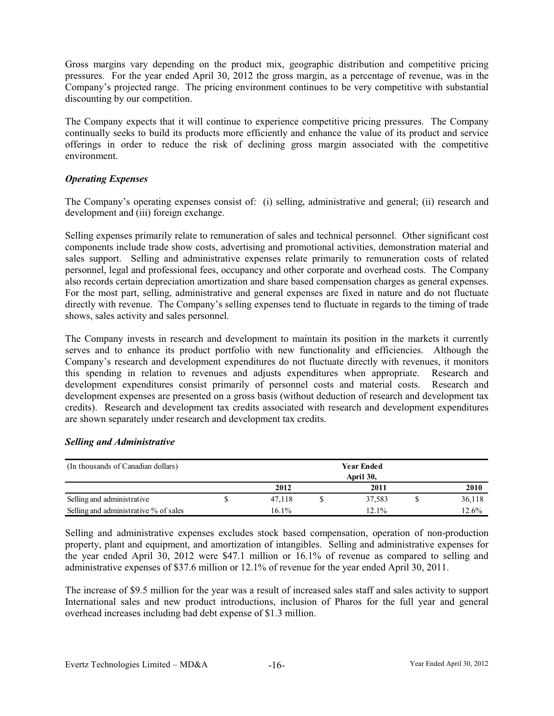Gross margins vary depending on the product mix, geographic distribution and competitive pricing pressures. For the year ended April 30, 2012 the gross margin, as a percentage of revenue, was in the Company's projected range. The pricing environment continues to be very competitive with substantial discounting by our competition.

The Company expects that it will continue to experience competitive pricing pressures. The Company continually seeks to build its products more efficiently and enhance the value of its product and service offerings in order to reduce the risk of declining gross margin associated with the competitive environment.

# *Operating Expenses*

The Company's operating expenses consist of: (i) selling, administrative and general; (ii) research and development and (iii) foreign exchange.

Selling expenses primarily relate to remuneration of sales and technical personnel. Other significant cost components include trade show costs, advertising and promotional activities, demonstration material and sales support. Selling and administrative expenses relate primarily to remuneration costs of related personnel, legal and professional fees, occupancy and other corporate and overhead costs. The Company also records certain depreciation amortization and share based compensation charges as general expenses. For the most part, selling, administrative and general expenses are fixed in nature and do not fluctuate directly with revenue. The Company's selling expenses tend to fluctuate in regards to the timing of trade shows, sales activity and sales personnel.

The Company invests in research and development to maintain its position in the markets it currently serves and to enhance its product portfolio with new functionality and efficiencies. Although the Company's research and development expenditures do not fluctuate directly with revenues, it monitors this spending in relation to revenues and adjusts expenditures when appropriate. Research and development expenditures consist primarily of personnel costs and material costs. Research and development expenses are presented on a gross basis (without deduction of research and development tax credits). Research and development tax credits associated with research and development expenditures are shown separately under research and development tax credits.

| (In thousands of Canadian dollars)    |       | <b>Year Ended</b> |           |        |
|---------------------------------------|-------|-------------------|-----------|--------|
|                                       |       |                   | April 30, |        |
|                                       | 2012  | 2011              | 2010      |        |
| Selling and administrative            |       | 47.118            | 37.583    | 36,118 |
| Selling and administrative % of sales | 16.1% | 12.1%             | 12.6%     |        |

## *Selling and Administrative*

Selling and administrative expenses excludes stock based compensation, operation of non-production property, plant and equipment, and amortization of intangibles. Selling and administrative expenses for the year ended April 30, 2012 were \$47.1 million or 16.1% of revenue as compared to selling and administrative expenses of \$37.6 million or 12.1% of revenue for the year ended April 30, 2011.

The increase of \$9.5 million for the year was a result of increased sales staff and sales activity to support International sales and new product introductions, inclusion of Pharos for the full year and general overhead increases including bad debt expense of \$1.3 million.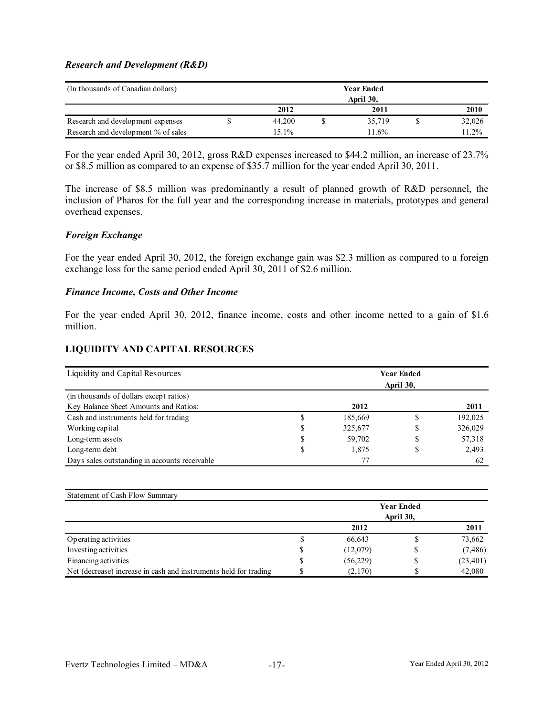### *Research and Development (R&D)*

| (In thousands of Canadian dollars)  |              |  | <b>Year Ended</b> |          |
|-------------------------------------|--------------|--|-------------------|----------|
|                                     |              |  | April 30,         |          |
|                                     | 2012<br>2011 |  |                   | 2010     |
| Research and development expenses   | 44.200       |  | 35,719            | 32,026   |
| Research and development % of sales | 15.1%        |  | 11.6%             | $11.2\%$ |

For the year ended April 30, 2012, gross R&D expenses increased to \$44.2 million, an increase of 23.7% or \$8.5 million as compared to an expense of \$35.7 million for the year ended April 30, 2011.

The increase of \$8.5 million was predominantly a result of planned growth of R&D personnel, the inclusion of Pharos for the full year and the corresponding increase in materials, prototypes and general overhead expenses.

### *Foreign Exchange*

For the year ended April 30, 2012, the foreign exchange gain was \$2.3 million as compared to a foreign exchange loss for the same period ended April 30, 2011 of \$2.6 million.

### *Finance Income, Costs and Other Income*

For the year ended April 30, 2012, finance income, costs and other income netted to a gain of \$1.6 million.

### **LIQUIDITY AND CAPITAL RESOURCES**

| Liquidity and Capital Resources               |         | <b>Year Ended</b><br>April 30, |         |
|-----------------------------------------------|---------|--------------------------------|---------|
| (in thousands of dollars except ratios)       |         |                                |         |
| Key Balance Sheet Amounts and Ratios:         | 2012    |                                | 2011    |
| Cash and instruments held for trading         | 185,669 |                                | 192,025 |
| Working capital                               | 325,677 |                                | 326,029 |
| Long-term assets                              | 59,702  |                                | 57,318  |
| Long-term debt                                | 1,875   | \$                             | 2,493   |
| Days sales outstanding in accounts receivable |         |                                | -62     |

| Statement of Cash Flow Summary                                   |                   |          |           |           |  |  |  |
|------------------------------------------------------------------|-------------------|----------|-----------|-----------|--|--|--|
|                                                                  | <b>Year Ended</b> |          |           |           |  |  |  |
|                                                                  |                   |          | April 30, |           |  |  |  |
|                                                                  |                   | 2012     |           | 2011      |  |  |  |
| Operating activities                                             |                   | 66,643   |           | 73,662    |  |  |  |
| Investing activities                                             | S                 | (12,079) | S         | (7, 486)  |  |  |  |
| Financing activities                                             |                   | (56,229) | S         | (23, 401) |  |  |  |
| Net (decrease) increase in cash and instruments held for trading |                   | (2,170)  |           | 42,080    |  |  |  |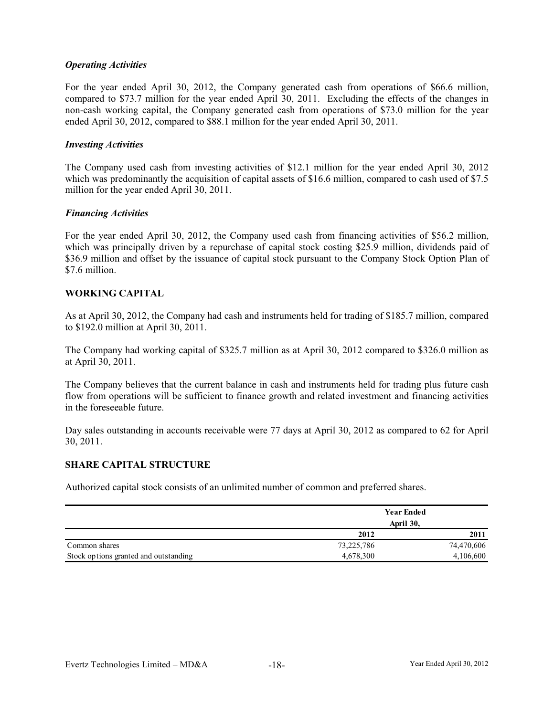## *Operating Activities*

For the year ended April 30, 2012, the Company generated cash from operations of \$66.6 million, compared to \$73.7 million for the year ended April 30, 2011. Excluding the effects of the changes in non-cash working capital, the Company generated cash from operations of \$73.0 million for the year ended April 30, 2012, compared to \$88.1 million for the year ended April 30, 2011.

### *Investing Activities*

The Company used cash from investing activities of \$12.1 million for the year ended April 30, 2012 which was predominantly the acquisition of capital assets of \$16.6 million, compared to cash used of \$7.5 million for the year ended April 30, 2011.

### *Financing Activities*

For the year ended April 30, 2012, the Company used cash from financing activities of \$56.2 million, which was principally driven by a repurchase of capital stock costing \$25.9 million, dividends paid of \$36.9 million and offset by the issuance of capital stock pursuant to the Company Stock Option Plan of \$7.6 million.

## **WORKING CAPITAL**

As at April 30, 2012, the Company had cash and instruments held for trading of \$185.7 million, compared to \$192.0 million at April 30, 2011.

The Company had working capital of \$325.7 million as at April 30, 2012 compared to \$326.0 million as at April 30, 2011.

The Company believes that the current balance in cash and instruments held for trading plus future cash flow from operations will be sufficient to finance growth and related investment and financing activities in the foreseeable future.

Day sales outstanding in accounts receivable were 77 days at April 30, 2012 as compared to 62 for April 30, 2011.

## **SHARE CAPITAL STRUCTURE**

Authorized capital stock consists of an unlimited number of common and preferred shares.

|                                       |            | <b>Year Ended</b><br>April 30, |
|---------------------------------------|------------|--------------------------------|
|                                       | 2012       | 2011                           |
| Common shares                         | 73,225,786 | 74,470,606                     |
| Stock options granted and outstanding | 4,678,300  | 4,106,600                      |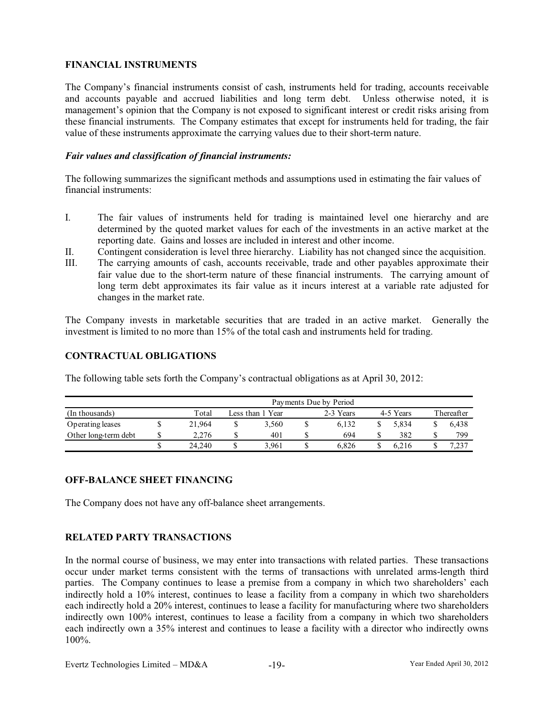# **FINANCIAL INSTRUMENTS**

The Company's financial instruments consist of cash, instruments held for trading, accounts receivable and accounts payable and accrued liabilities and long term debt. Unless otherwise noted, it is management's opinion that the Company is not exposed to significant interest or credit risks arising from these financial instruments. The Company estimates that except for instruments held for trading, the fair value of these instruments approximate the carrying values due to their short-term nature.

## *Fair values and classification of financial instruments:*

The following summarizes the significant methods and assumptions used in estimating the fair values of financial instruments:

- I. The fair values of instruments held for trading is maintained level one hierarchy and are determined by the quoted market values for each of the investments in an active market at the reporting date. Gains and losses are included in interest and other income.
- II. Contingent consideration is level three hierarchy. Liability has not changed since the acquisition.
- III. The carrying amounts of cash, accounts receivable, trade and other payables approximate their fair value due to the short-term nature of these financial instruments. The carrying amount of long term debt approximates its fair value as it incurs interest at a variable rate adjusted for changes in the market rate.

The Company invests in marketable securities that are traded in an active market. Generally the investment is limited to no more than 15% of the total cash and instruments held for trading.

### **CONTRACTUAL OBLIGATIONS**

The following table sets forth the Company's contractual obligations as at April 30, 2012:

|                      | Payments Due by Period |                                            |       |  |       |  |       |  |            |
|----------------------|------------------------|--------------------------------------------|-------|--|-------|--|-------|--|------------|
| (In thousands)       | Total                  | 2-3 Years<br>4-5 Years<br>Less than 1 Year |       |  |       |  |       |  | Thereafter |
| Operating leases     | 21.964                 |                                            | 3.560 |  | 6.132 |  | 5.834 |  | 6.438      |
| Other long-term debt | 2.276                  |                                            | 401   |  | 694   |  | 382   |  | 799        |
|                      | 24.240                 |                                            | 3.961 |  | 6.826 |  | 6.216 |  | 7.237      |

## **OFF-BALANCE SHEET FINANCING**

The Company does not have any off-balance sheet arrangements.

# **RELATED PARTY TRANSACTIONS**

In the normal course of business, we may enter into transactions with related parties. These transactions occur under market terms consistent with the terms of transactions with unrelated arms-length third parties. The Company continues to lease a premise from a company in which two shareholders' each indirectly hold a 10% interest, continues to lease a facility from a company in which two shareholders each indirectly hold a 20% interest, continues to lease a facility for manufacturing where two shareholders indirectly own 100% interest, continues to lease a facility from a company in which two shareholders each indirectly own a 35% interest and continues to lease a facility with a director who indirectly owns 100%.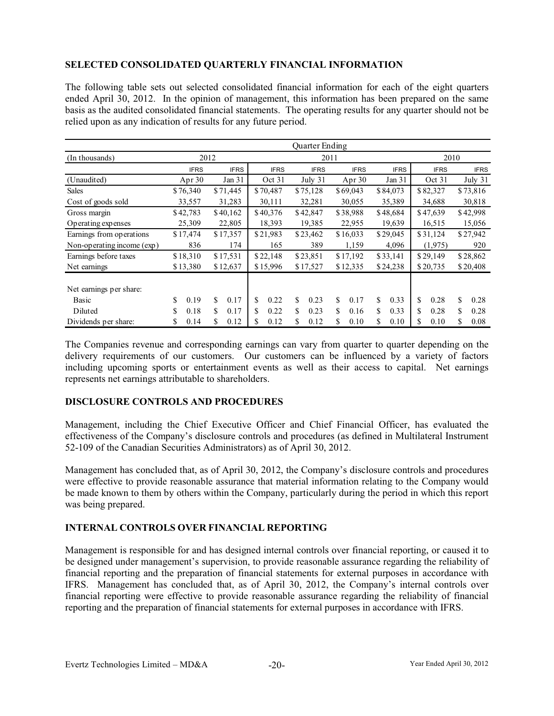# **SELECTED CONSOLIDATED QUARTERLY FINANCIAL INFORMATION**

The following table sets out selected consolidated financial information for each of the eight quarters ended April 30, 2012. In the opinion of management, this information has been prepared on the same basis as the audited consolidated financial statements. The operating results for any quarter should not be relied upon as any indication of results for any future period.

|                            | Quarter Ending |             |             |             |             |             |             |             |
|----------------------------|----------------|-------------|-------------|-------------|-------------|-------------|-------------|-------------|
| (In thousands)             | 2012           |             |             | 2011        |             | 2010        |             |             |
|                            | <b>IFRS</b>    | <b>IFRS</b> | <b>IFRS</b> | <b>IFRS</b> | <b>IFRS</b> | <b>IFRS</b> | <b>IFRS</b> | <b>IFRS</b> |
| (Unaudited)                | Apr $30$       | Jan 31      | Oct 31      | July 31     | Apr $30$    | Jan 31      | Oct 31      | July 31     |
| <b>Sales</b>               | \$76,340       | \$71,445    | \$70,487    | \$75,128    | \$69,043    | \$84,073    | \$82,327    | \$73,816    |
| Cost of goods sold         | 33,557         | 31,283      | 30,111      | 32,281      | 30,055      | 35,389      | 34,688      | 30,818      |
| Gross margin               | \$42,783       | \$40,162    | \$40,376    | \$42,847    | \$38,988    | \$48,684    | \$47,639    | \$42,998    |
| Operating expenses         | 25,309         | 22,805      | 18,393      | 19,385      | 22,955      | 19,639      | 16,515      | 15,056      |
| Earnings from operations   | \$17,474       | \$17,357    | \$21,983    | \$23,462    | \$16,033    | \$29,045    | \$31,124    | \$27,942    |
| Non-operating income (exp) | 836            | 174         | 165         | 389         | 1,159       | 4,096       | (1,975)     | 920         |
| Earnings before taxes      | \$18,310       | \$17,531    | \$22,148    | \$23,851    | \$17,192    | \$33,141    | \$29,149    | \$28,862    |
| Net earnings               | \$13,380       | \$12,637    | \$15,996    | \$17,527    | \$12,335    | \$24,238    | \$20,735    | \$20,408    |
|                            |                |             |             |             |             |             |             |             |
| Net earnings per share:    |                |             |             |             |             |             |             |             |
| Basic                      | \$<br>0.19     | \$<br>0.17  | S<br>0.22   | \$<br>0.23  | \$<br>0.17  | S.<br>0.33  | \$<br>0.28  | \$<br>0.28  |
| Diluted                    | S<br>0.18      | S<br>0.17   | S<br>0.22   | \$<br>0.23  | \$<br>0.16  | \$<br>0.33  | \$<br>0.28  | \$<br>0.28  |
| Dividends per share:       | 0.14<br>\$     | \$<br>0.12  | \$<br>0.12  | 0.12<br>\$  | S<br>0.10   | \$<br>0.10  | \$<br>0.10  | \$<br>0.08  |

The Companies revenue and corresponding earnings can vary from quarter to quarter depending on the delivery requirements of our customers. Our customers can be influenced by a variety of factors including upcoming sports or entertainment events as well as their access to capital. Net earnings represents net earnings attributable to shareholders.

## **DISCLOSURE CONTROLS AND PROCEDURES**

Management, including the Chief Executive Officer and Chief Financial Officer, has evaluated the effectiveness of the Company's disclosure controls and procedures (as defined in Multilateral Instrument 52-109 of the Canadian Securities Administrators) as of April 30, 2012.

Management has concluded that, as of April 30, 2012, the Company's disclosure controls and procedures were effective to provide reasonable assurance that material information relating to the Company would be made known to them by others within the Company, particularly during the period in which this report was being prepared.

## **INTERNAL CONTROLS OVER FINANCIAL REPORTING**

Management is responsible for and has designed internal controls over financial reporting, or caused it to be designed under management's supervision, to provide reasonable assurance regarding the reliability of financial reporting and the preparation of financial statements for external purposes in accordance with IFRS. Management has concluded that, as of April 30, 2012, the Company's internal controls over financial reporting were effective to provide reasonable assurance regarding the reliability of financial reporting and the preparation of financial statements for external purposes in accordance with IFRS.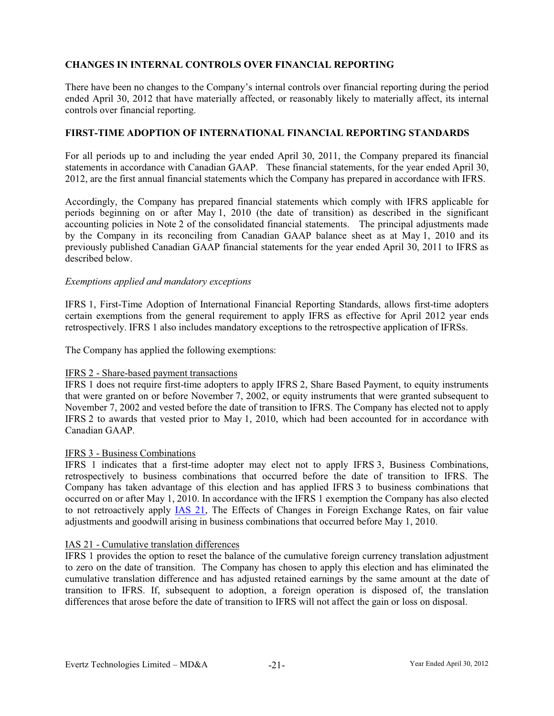# **CHANGES IN INTERNAL CONTROLS OVER FINANCIAL REPORTING**

There have been no changes to the Company's internal controls over financial reporting during the period ended April 30, 2012 that have materially affected, or reasonably likely to materially affect, its internal controls over financial reporting.

### **FIRST-TIME ADOPTION OF INTERNATIONAL FINANCIAL REPORTING STANDARDS**

For all periods up to and including the year ended April 30, 2011, the Company prepared its financial statements in accordance with Canadian GAAP. These financial statements, for the year ended April 30, 2012, are the first annual financial statements which the Company has prepared in accordance with IFRS.

Accordingly, the Company has prepared financial statements which comply with IFRS applicable for periods beginning on or after May 1, 2010 (the date of transition) as described in the significant accounting policies in Note 2 of the consolidated financial statements. The principal adjustments made by the Company in its reconciling from Canadian GAAP balance sheet as at May 1, 2010 and its previously published Canadian GAAP financial statements for the year ended April 30, 2011 to IFRS as described below.

### *Exemptions applied and mandatory exceptions*

IFRS 1, First-Time Adoption of International Financial Reporting Standards, allows first-time adopters certain exemptions from the general requirement to apply IFRS as effective for April 2012 year ends retrospectively. IFRS 1 also includes mandatory exceptions to the retrospective application of IFRSs.

The Company has applied the following exemptions:

## IFRS 2 - Share-based payment transactions

IFRS 1 does not require first-time adopters to apply IFRS 2, Share Based Payment, to equity instruments that were granted on or before November 7, 2002, or equity instruments that were granted subsequent to November 7, 2002 and vested before the date of transition to IFRS. The Company has elected not to apply IFRS 2 to awards that vested prior to May 1, 2010, which had been accounted for in accordance with Canadian GAAP.

### IFRS 3 - Business Combinations

IFRS 1 indicates that a first-time adopter may elect not to apply IFRS 3, Business Combinations, retrospectively to business combinations that occurred before the date of transition to IFRS. The Company has taken advantage of this election and has applied IFRS 3 to business combinations that occurred on or after May 1, 2010. In accordance with the IFRS 1 exemption the Company has also elected to not retroactively apply IAS 21, The Effects of Changes in Foreign Exchange Rates, on fair value adjustments and goodwill arising in business combinations that occurred before May 1, 2010.

## IAS 21 - Cumulative translation differences

IFRS 1 provides the option to reset the balance of the cumulative foreign currency translation adjustment to zero on the date of transition. The Company has chosen to apply this election and has eliminated the cumulative translation difference and has adjusted retained earnings by the same amount at the date of transition to IFRS. If, subsequent to adoption, a foreign operation is disposed of, the translation differences that arose before the date of transition to IFRS will not affect the gain or loss on disposal.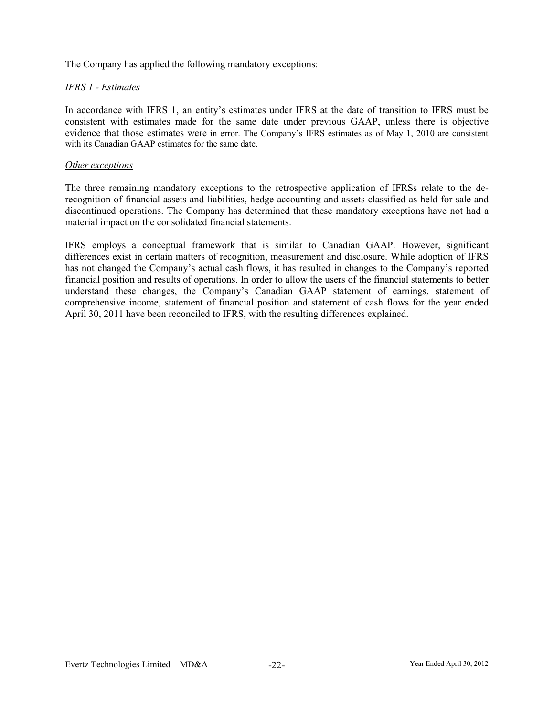The Company has applied the following mandatory exceptions:

# *IFRS 1 - Estimates*

In accordance with IFRS 1, an entity's estimates under IFRS at the date of transition to IFRS must be consistent with estimates made for the same date under previous GAAP, unless there is objective evidence that those estimates were in error. The Company's IFRS estimates as of May 1, 2010 are consistent with its Canadian GAAP estimates for the same date.

### *Other exceptions*

The three remaining mandatory exceptions to the retrospective application of IFRSs relate to the derecognition of financial assets and liabilities, hedge accounting and assets classified as held for sale and discontinued operations. The Company has determined that these mandatory exceptions have not had a material impact on the consolidated financial statements.

IFRS employs a conceptual framework that is similar to Canadian GAAP. However, significant differences exist in certain matters of recognition, measurement and disclosure. While adoption of IFRS has not changed the Company's actual cash flows, it has resulted in changes to the Company's reported financial position and results of operations. In order to allow the users of the financial statements to better understand these changes, the Company's Canadian GAAP statement of earnings, statement of comprehensive income, statement of financial position and statement of cash flows for the year ended April 30, 2011 have been reconciled to IFRS, with the resulting differences explained.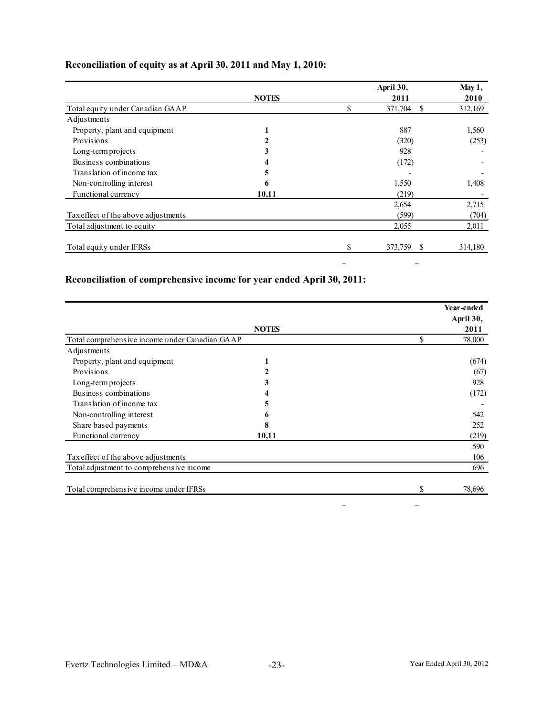|                                     |              |    | April 30,     |         |
|-------------------------------------|--------------|----|---------------|---------|
|                                     | <b>NOTES</b> |    | 2011          | 2010    |
| Total equity under Canadian GAAP    |              | \$ | 371,704<br>S  | 312,169 |
| Adjustments                         |              |    |               |         |
| Property, plant and equipment       |              |    | 887           | 1,560   |
| Provisions                          |              |    | (320)         | (253)   |
| Long-term projects                  |              |    | 928           |         |
| Business combinations               |              |    | (172)         |         |
| Translation of income tax           | 5            |    |               |         |
| Non-controlling interest            | 6            |    | 1,550         | 1,408   |
| Functional currency                 | 10,11        |    | (219)         |         |
|                                     |              |    | 2,654         | 2,715   |
| Tax effect of the above adjustments |              |    | (599)         | (704)   |
| Total adjustment to equity          |              |    | 2,055         | 2,011   |
| Total equity under IFRSs            |              | \$ | 373,759<br>\$ | 314,180 |
|                                     |              | -  |               |         |

# **Reconciliation of equity as at April 30, 2011 and May 1, 2010:**

# **Reconciliation of comprehensive income for year ended April 30, 2011:**

|                                                |              |    | Year-ended<br>April 30, |
|------------------------------------------------|--------------|----|-------------------------|
|                                                | <b>NOTES</b> |    | 2011                    |
| Total comprehensive income under Canadian GAAP |              | \$ | 78,000                  |
| Adjustments                                    |              |    |                         |
| Property, plant and equipment                  |              |    | (674)                   |
| Provisions                                     |              |    | (67)                    |
| Long-term projects                             | 3            |    | 928                     |
| Business combinations                          |              |    | (172)                   |
| Translation of income tax                      | 5            |    |                         |
| Non-controlling interest                       | h            |    | 542                     |
| Share based payments                           | 8            |    | 252                     |
| Functional currency                            | 10,11        |    | (219)                   |
|                                                |              |    | 590                     |
| Tax effect of the above adjustments            |              |    | 106                     |
| Total adjustment to comprehensive income       |              |    | 696                     |
| Total comprehensive income under IFRSs         |              | S  | 78,696                  |

 $\equiv$ 

 $\equiv$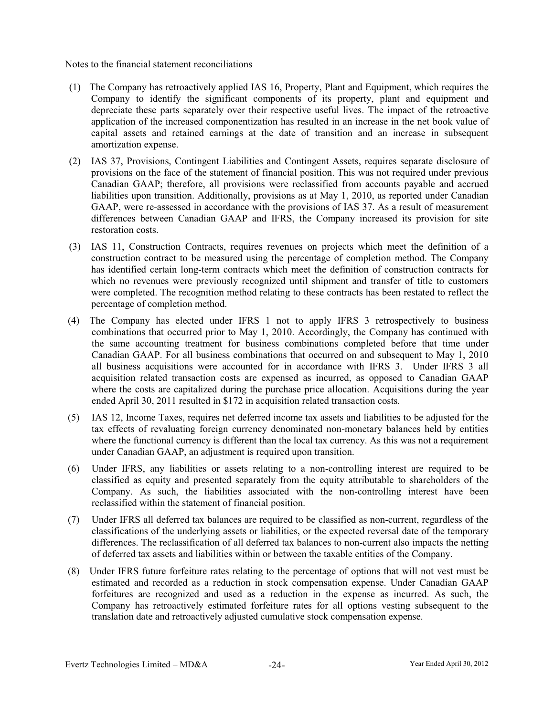Notes to the financial statement reconciliations

- (1) The Company has retroactively applied IAS 16, Property, Plant and Equipment, which requires the Company to identify the significant components of its property, plant and equipment and depreciate these parts separately over their respective useful lives. The impact of the retroactive application of the increased componentization has resulted in an increase in the net book value of capital assets and retained earnings at the date of transition and an increase in subsequent amortization expense.
- (2) IAS 37, Provisions, Contingent Liabilities and Contingent Assets, requires separate disclosure of provisions on the face of the statement of financial position. This was not required under previous Canadian GAAP; therefore, all provisions were reclassified from accounts payable and accrued liabilities upon transition. Additionally, provisions as at May 1, 2010, as reported under Canadian GAAP, were re-assessed in accordance with the provisions of IAS 37. As a result of measurement differences between Canadian GAAP and IFRS, the Company increased its provision for site restoration costs.
- (3) IAS 11, Construction Contracts, requires revenues on projects which meet the definition of a construction contract to be measured using the percentage of completion method. The Company has identified certain long-term contracts which meet the definition of construction contracts for which no revenues were previously recognized until shipment and transfer of title to customers were completed. The recognition method relating to these contracts has been restated to reflect the percentage of completion method.
- (4) The Company has elected under IFRS 1 not to apply IFRS 3 retrospectively to business combinations that occurred prior to May 1, 2010. Accordingly, the Company has continued with the same accounting treatment for business combinations completed before that time under Canadian GAAP. For all business combinations that occurred on and subsequent to May 1, 2010 all business acquisitions were accounted for in accordance with IFRS 3. Under IFRS 3 all acquisition related transaction costs are expensed as incurred, as opposed to Canadian GAAP where the costs are capitalized during the purchase price allocation. Acquisitions during the year ended April 30, 2011 resulted in \$172 in acquisition related transaction costs.
- (5) IAS 12, Income Taxes, requires net deferred income tax assets and liabilities to be adjusted for the tax effects of revaluating foreign currency denominated non-monetary balances held by entities where the functional currency is different than the local tax currency. As this was not a requirement under Canadian GAAP, an adjustment is required upon transition.
- (6) Under IFRS, any liabilities or assets relating to a non-controlling interest are required to be classified as equity and presented separately from the equity attributable to shareholders of the Company. As such, the liabilities associated with the non-controlling interest have been reclassified within the statement of financial position.
- (7) Under IFRS all deferred tax balances are required to be classified as non-current, regardless of the classifications of the underlying assets or liabilities, or the expected reversal date of the temporary differences. The reclassification of all deferred tax balances to non-current also impacts the netting of deferred tax assets and liabilities within or between the taxable entities of the Company.
- (8) Under IFRS future forfeiture rates relating to the percentage of options that will not vest must be estimated and recorded as a reduction in stock compensation expense. Under Canadian GAAP forfeitures are recognized and used as a reduction in the expense as incurred. As such, the Company has retroactively estimated forfeiture rates for all options vesting subsequent to the translation date and retroactively adjusted cumulative stock compensation expense.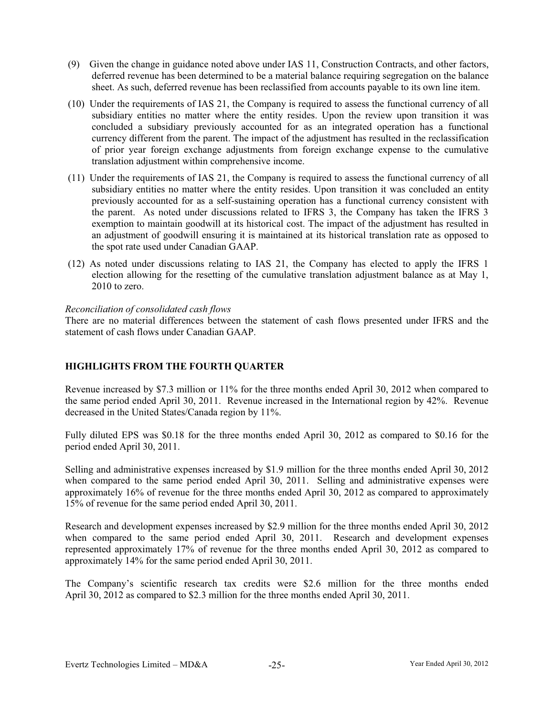- (9) Given the change in guidance noted above under IAS 11, Construction Contracts, and other factors, deferred revenue has been determined to be a material balance requiring segregation on the balance sheet. As such, deferred revenue has been reclassified from accounts payable to its own line item.
- (10) Under the requirements of IAS 21, the Company is required to assess the functional currency of all subsidiary entities no matter where the entity resides. Upon the review upon transition it was concluded a subsidiary previously accounted for as an integrated operation has a functional currency different from the parent. The impact of the adjustment has resulted in the reclassification of prior year foreign exchange adjustments from foreign exchange expense to the cumulative translation adjustment within comprehensive income.
- (11) Under the requirements of IAS 21, the Company is required to assess the functional currency of all subsidiary entities no matter where the entity resides. Upon transition it was concluded an entity previously accounted for as a self-sustaining operation has a functional currency consistent with the parent. As noted under discussions related to IFRS 3, the Company has taken the IFRS 3 exemption to maintain goodwill at its historical cost. The impact of the adjustment has resulted in an adjustment of goodwill ensuring it is maintained at its historical translation rate as opposed to the spot rate used under Canadian GAAP.
- (12) As noted under discussions relating to IAS 21, the Company has elected to apply the IFRS 1 election allowing for the resetting of the cumulative translation adjustment balance as at May 1, 2010 to zero.

## *Reconciliation of consolidated cash flows*

There are no material differences between the statement of cash flows presented under IFRS and the statement of cash flows under Canadian GAAP.

## **HIGHLIGHTS FROM THE FOURTH QUARTER**

Revenue increased by \$7.3 million or 11% for the three months ended April 30, 2012 when compared to the same period ended April 30, 2011. Revenue increased in the International region by 42%. Revenue decreased in the United States/Canada region by 11%.

Fully diluted EPS was \$0.18 for the three months ended April 30, 2012 as compared to \$0.16 for the period ended April 30, 2011.

Selling and administrative expenses increased by \$1.9 million for the three months ended April 30, 2012 when compared to the same period ended April 30, 2011. Selling and administrative expenses were approximately 16% of revenue for the three months ended April 30, 2012 as compared to approximately 15% of revenue for the same period ended April 30, 2011.

Research and development expenses increased by \$2.9 million for the three months ended April 30, 2012 when compared to the same period ended April 30, 2011. Research and development expenses represented approximately 17% of revenue for the three months ended April 30, 2012 as compared to approximately 14% for the same period ended April 30, 2011.

The Company's scientific research tax credits were \$2.6 million for the three months ended April 30, 2012 as compared to \$2.3 million for the three months ended April 30, 2011.